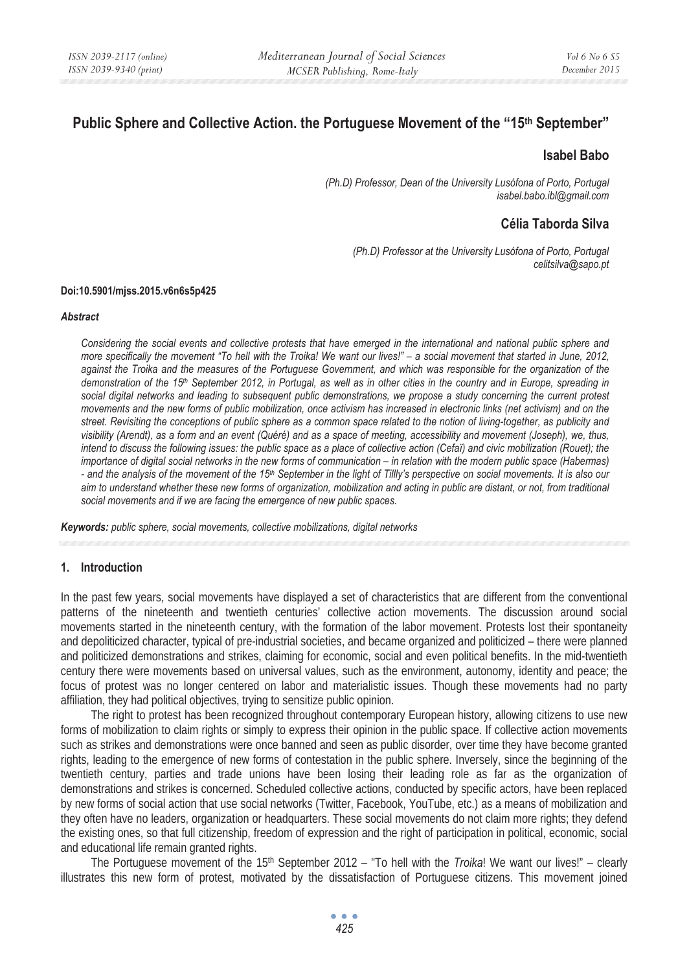# **Public Sphere and Collective Action. the Portuguese Movement of the "15th September"**

### **Isabel Babo**

*(Ph.D) Professor, Dean of the University Lusófona of Porto, Portugal isabel.babo.ibl@gmail.com* 

# **Célia Taborda Silva**

*(Ph.D) Professor at the University Lusófona of Porto, Portugal celitsilva@sapo.pt* 

#### **Doi:10.5901/mjss.2015.v6n6s5p425**

#### *Abstract*

*Considering the social events and collective protests that have emerged in the international and national public sphere and more specifically the movement "To hell with the Troika! We want our lives!" – a social movement that started in June, 2012, against the Troika and the measures of the Portuguese Government, and which was responsible for the organization of the demonstration of the 15th September 2012, in Portugal, as well as in other cities in the country and in Europe, spreading in social digital networks and leading to subsequent public demonstrations, we propose a study concerning the current protest movements and the new forms of public mobilization, once activism has increased in electronic links (net activism) and on the street. Revisiting the conceptions of public sphere as a common space related to the notion of living-together, as publicity and visibility (Arendt), as a form and an event (Quéré) and as a space of meeting, accessibility and movement (Joseph), we, thus, intend to discuss the following issues: the public space as a place of collective action (Cefaï) and civic mobilization (Rouet); the importance of digital social networks in the new forms of communication – in relation with the modern public space (Habermas) - and the analysis of the movement of the 15th September in the light of Tillly's perspective on social movements. It is also our aim to understand whether these new forms of organization, mobilization and acting in public are distant, or not, from traditional social movements and if we are facing the emergence of new public spaces.* 

*Keywords: public sphere, social movements, collective mobilizations, digital networks* 

### **1. Introduction**

In the past few years, social movements have displayed a set of characteristics that are different from the conventional patterns of the nineteenth and twentieth centuries' collective action movements. The discussion around social movements started in the nineteenth century, with the formation of the labor movement. Protests lost their spontaneity and depoliticized character, typical of pre-industrial societies, and became organized and politicized – there were planned and politicized demonstrations and strikes, claiming for economic, social and even political benefits. In the mid-twentieth century there were movements based on universal values, such as the environment, autonomy, identity and peace; the focus of protest was no longer centered on labor and materialistic issues. Though these movements had no party affiliation, they had political objectives, trying to sensitize public opinion.

The right to protest has been recognized throughout contemporary European history, allowing citizens to use new forms of mobilization to claim rights or simply to express their opinion in the public space. If collective action movements such as strikes and demonstrations were once banned and seen as public disorder, over time they have become granted rights, leading to the emergence of new forms of contestation in the public sphere. Inversely, since the beginning of the twentieth century, parties and trade unions have been losing their leading role as far as the organization of demonstrations and strikes is concerned. Scheduled collective actions, conducted by specific actors, have been replaced by new forms of social action that use social networks (Twitter, Facebook, YouTube, etc.) as a means of mobilization and they often have no leaders, organization or headquarters. These social movements do not claim more rights; they defend the existing ones, so that full citizenship, freedom of expression and the right of participation in political, economic, social and educational life remain granted rights.

The Portuguese movement of the 15<sup>th</sup> September 2012 – "To hell with the *Troika*! We want our lives!" – clearly illustrates this new form of protest, motivated by the dissatisfaction of Portuguese citizens. This movement joined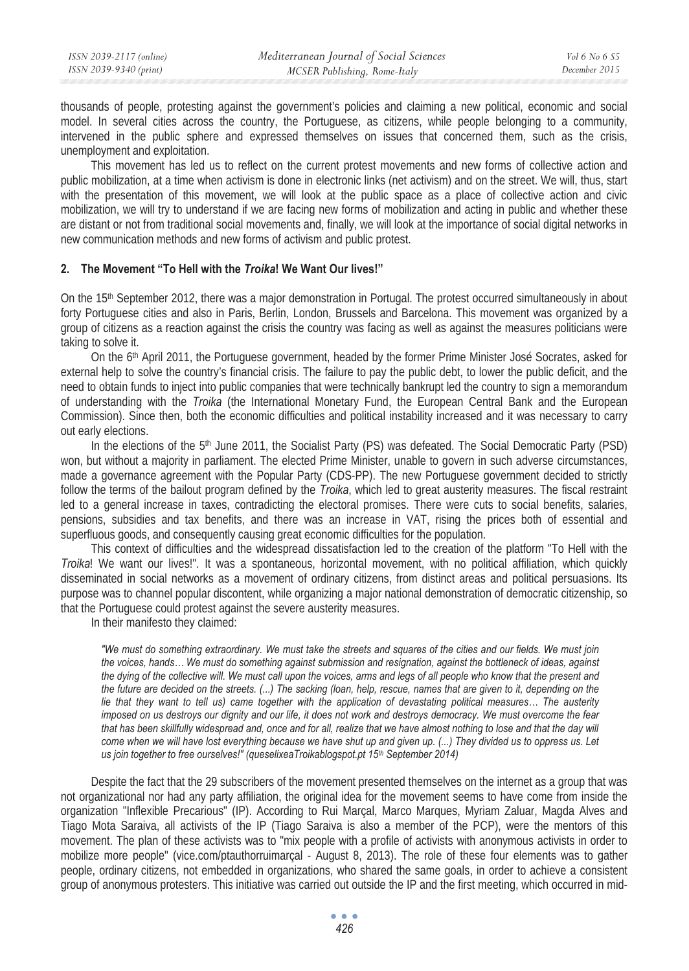thousands of people, protesting against the government's policies and claiming a new political, economic and social model. In several cities across the country, the Portuguese, as citizens, while people belonging to a community, intervened in the public sphere and expressed themselves on issues that concerned them, such as the crisis, unemployment and exploitation.

This movement has led us to reflect on the current protest movements and new forms of collective action and public mobilization, at a time when activism is done in electronic links (net activism) and on the street. We will, thus, start with the presentation of this movement, we will look at the public space as a place of collective action and civic mobilization, we will try to understand if we are facing new forms of mobilization and acting in public and whether these are distant or not from traditional social movements and, finally, we will look at the importance of social digital networks in new communication methods and new forms of activism and public protest.

### **2. The Movement "To Hell with the** *Troika***! We Want Our lives!"**

On the 15th September 2012, there was a major demonstration in Portugal. The protest occurred simultaneously in about forty Portuguese cities and also in Paris, Berlin, London, Brussels and Barcelona. This movement was organized by a group of citizens as a reaction against the crisis the country was facing as well as against the measures politicians were taking to solve it.

On the 6th April 2011, the Portuguese government, headed by the former Prime Minister José Socrates, asked for external help to solve the country's financial crisis. The failure to pay the public debt, to lower the public deficit, and the need to obtain funds to inject into public companies that were technically bankrupt led the country to sign a memorandum of understanding with the *Troika* (the International Monetary Fund, the European Central Bank and the European Commission). Since then, both the economic difficulties and political instability increased and it was necessary to carry out early elections.

In the elections of the 5<sup>th</sup> June 2011, the Socialist Party (PS) was defeated. The Social Democratic Party (PSD) won, but without a majority in parliament. The elected Prime Minister, unable to govern in such adverse circumstances, made a governance agreement with the Popular Party (CDS-PP). The new Portuguese government decided to strictly follow the terms of the bailout program defined by the *Troika*, which led to great austerity measures. The fiscal restraint led to a general increase in taxes, contradicting the electoral promises. There were cuts to social benefits, salaries, pensions, subsidies and tax benefits, and there was an increase in VAT, rising the prices both of essential and superfluous goods, and consequently causing great economic difficulties for the population.

This context of difficulties and the widespread dissatisfaction led to the creation of the platform "To Hell with the *Troika*! We want our lives!". It was a spontaneous, horizontal movement, with no political affiliation, which quickly disseminated in social networks as a movement of ordinary citizens, from distinct areas and political persuasions. Its purpose was to channel popular discontent, while organizing a major national demonstration of democratic citizenship, so that the Portuguese could protest against the severe austerity measures.

In their manifesto they claimed:

*"We must do something extraordinary. We must take the streets and squares of the cities and our fields. We must join the voices, hands… We must do something against submission and resignation, against the bottleneck of ideas, against the dying of the collective will. We must call upon the voices, arms and legs of all people who know that the present and the future are decided on the streets. (...) The sacking (loan, help, rescue, names that are given to it, depending on the lie that they want to tell us) came together with the application of devastating political measures… The austerity imposed on us destroys our dignity and our life, it does not work and destroys democracy. We must overcome the fear that has been skillfully widespread and, once and for all, realize that we have almost nothing to lose and that the day will come when we will have lost everything because we have shut up and given up. (...) They divided us to oppress us. Let us join together to free ourselves!" (queselixeaTroikablogspot.pt 15<sup>th</sup> September 2014)* 

Despite the fact that the 29 subscribers of the movement presented themselves on the internet as a group that was not organizational nor had any party affiliation, the original idea for the movement seems to have come from inside the organization "Inflexible Precarious" (IP). According to Rui Marçal, Marco Marques, Myriam Zaluar, Magda Alves and Tiago Mota Saraiva, all activists of the IP (Tiago Saraiva is also a member of the PCP), were the mentors of this movement. The plan of these activists was to "mix people with a profile of activists with anonymous activists in order to mobilize more people" (vice.com/ptauthorruimarçal - August 8, 2013). The role of these four elements was to gather people, ordinary citizens, not embedded in organizations, who shared the same goals, in order to achieve a consistent group of anonymous protesters. This initiative was carried out outside the IP and the first meeting, which occurred in mid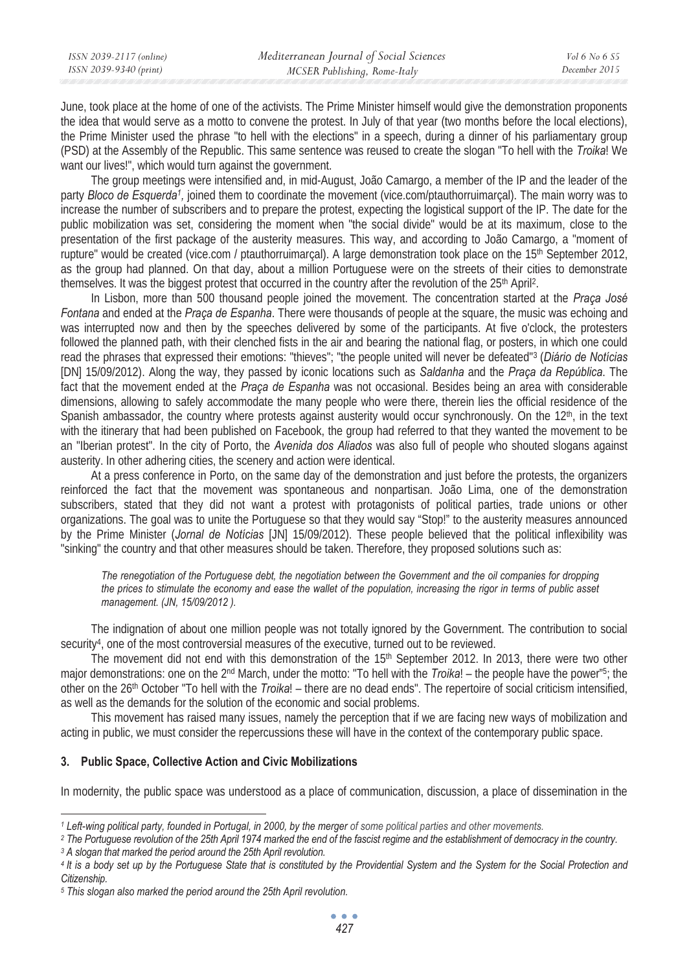June, took place at the home of one of the activists. The Prime Minister himself would give the demonstration proponents the idea that would serve as a motto to convene the protest. In July of that year (two months before the local elections), the Prime Minister used the phrase "to hell with the elections" in a speech, during a dinner of his parliamentary group (PSD) at the Assembly of the Republic. This same sentence was reused to create the slogan "To hell with the *Troika*! We want our lives!", which would turn against the government.

The group meetings were intensified and, in mid-August, João Camargo, a member of the IP and the leader of the party *Bloco de Esquerda1,* joined them to coordinate the movement (vice.com/ptauthorruimarçal). The main worry was to increase the number of subscribers and to prepare the protest, expecting the logistical support of the IP. The date for the public mobilization was set, considering the moment when "the social divide" would be at its maximum, close to the presentation of the first package of the austerity measures. This way, and according to João Camargo, a "moment of rupture" would be created (vice.com / ptauthorruimarcal). A large demonstration took place on the  $15<sup>th</sup>$  September 2012, as the group had planned. On that day, about a million Portuguese were on the streets of their cities to demonstrate themselves. It was the biggest protest that occurred in the country after the revolution of the 25<sup>th</sup> April<sup>2</sup>.

In Lisbon, more than 500 thousand people joined the movement. The concentration started at the *Praça José Fontana* and ended at the *Praça de Espanha*. There were thousands of people at the square, the music was echoing and was interrupted now and then by the speeches delivered by some of the participants. At five o'clock, the protesters followed the planned path, with their clenched fists in the air and bearing the national flag, or posters, in which one could read the phrases that expressed their emotions: "thieves"; "the people united will never be defeated"3 (*Diário de Notícias*  [DN] 15/09/2012). Along the way, they passed by iconic locations such as *Saldanha* and the *Praça da República*. The fact that the movement ended at the *Praça de Espanha* was not occasional. Besides being an area with considerable dimensions, allowing to safely accommodate the many people who were there, therein lies the official residence of the Spanish ambassador, the country where protests against austerity would occur synchronously. On the 12<sup>th</sup>, in the text with the itinerary that had been published on Facebook, the group had referred to that they wanted the movement to be an "Iberian protest". In the city of Porto, the *Avenida dos Aliados* was also full of people who shouted slogans against austerity. In other adhering cities, the scenery and action were identical.

At a press conference in Porto, on the same day of the demonstration and just before the protests, the organizers reinforced the fact that the movement was spontaneous and nonpartisan. João Lima, one of the demonstration subscribers, stated that they did not want a protest with protagonists of political parties, trade unions or other organizations. The goal was to unite the Portuguese so that they would say "Stop!" to the austerity measures announced by the Prime Minister (*Jornal de Notícias* [JN] 15/09/2012). These people believed that the political inflexibility was "sinking" the country and that other measures should be taken. Therefore, they proposed solutions such as:

*The renegotiation of the Portuguese debt, the negotiation between the Government and the oil companies for dropping the prices to stimulate the economy and ease the wallet of the population, increasing the rigor in terms of public asset management. (JN, 15/09/2012 ).* 

The indignation of about one million people was not totally ignored by the Government. The contribution to social security<sup>4</sup>, one of the most controversial measures of the executive, turned out to be reviewed.

The movement did not end with this demonstration of the 15<sup>th</sup> September 2012. In 2013, there were two other major demonstrations: one on the 2nd March, under the motto: "To hell with the *Troika*! – the people have the power"5; the other on the 26th October "To hell with the *Troika*! – there are no dead ends". The repertoire of social criticism intensified, as well as the demands for the solution of the economic and social problems.

This movement has raised many issues, namely the perception that if we are facing new ways of mobilization and acting in public, we must consider the repercussions these will have in the context of the contemporary public space.

### **3. Public Space, Collective Action and Civic Mobilizations**

In modernity, the public space was understood as a place of communication, discussion, a place of dissemination in the

*<sup>1</sup> Left-wing political party, founded in Portugal, in 2000, by the merger of some political parties and other movements.*

<sup>&</sup>lt;sup>2</sup> The Portuguese revolution of the 25th April 1974 marked the end of the fascist regime and the establishment of democracy in the country.<br><sup>3</sup> A slogan that marked the period around the 25th April revolution.

*<sup>4</sup> It is a body set up by the Portuguese State that is constituted by the Providential System and the System for the Social Protection and Citizenship.* 

*<sup>5</sup> This slogan also marked the period around the 25th April revolution.*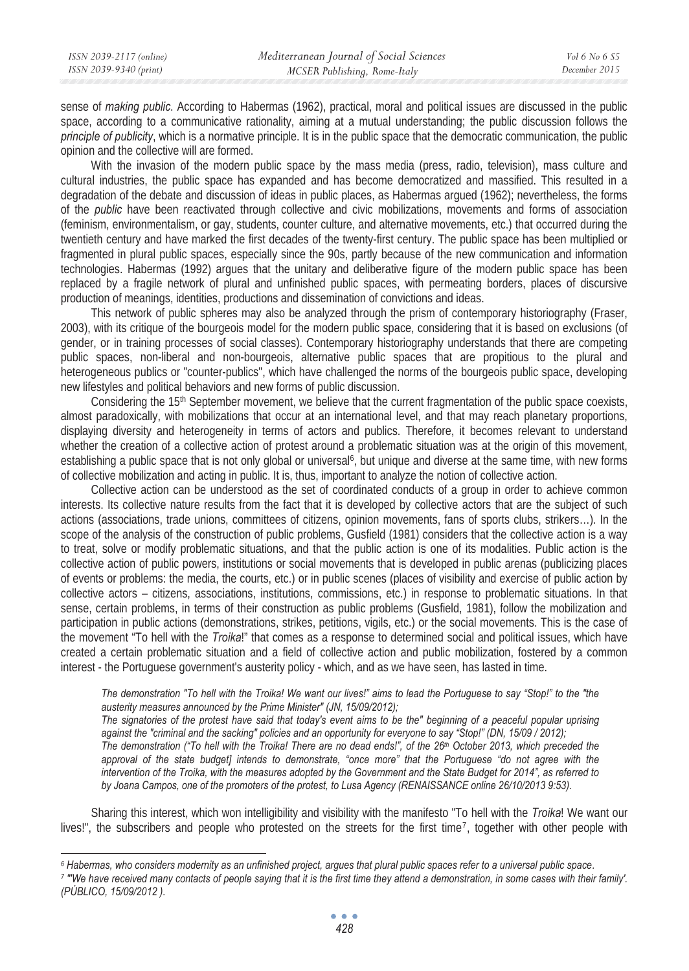sense of *making public*. According to Habermas (1962), practical, moral and political issues are discussed in the public space, according to a communicative rationality, aiming at a mutual understanding; the public discussion follows the *principle of publicity*, which is a normative principle. It is in the public space that the democratic communication, the public opinion and the collective will are formed.

With the invasion of the modern public space by the mass media (press, radio, television), mass culture and cultural industries, the public space has expanded and has become democratized and massified. This resulted in a degradation of the debate and discussion of ideas in public places, as Habermas argued (1962); nevertheless, the forms of the *public* have been reactivated through collective and civic mobilizations, movements and forms of association (feminism, environmentalism, or gay, students, counter culture, and alternative movements, etc.) that occurred during the twentieth century and have marked the first decades of the twenty-first century. The public space has been multiplied or fragmented in plural public spaces, especially since the 90s, partly because of the new communication and information technologies. Habermas (1992) argues that the unitary and deliberative figure of the modern public space has been replaced by a fragile network of plural and unfinished public spaces, with permeating borders, places of discursive production of meanings, identities, productions and dissemination of convictions and ideas.

This network of public spheres may also be analyzed through the prism of contemporary historiography (Fraser, 2003), with its critique of the bourgeois model for the modern public space, considering that it is based on exclusions (of gender, or in training processes of social classes). Contemporary historiography understands that there are competing public spaces, non-liberal and non-bourgeois, alternative public spaces that are propitious to the plural and heterogeneous publics or "counter-publics", which have challenged the norms of the bourgeois public space, developing new lifestyles and political behaviors and new forms of public discussion.

Considering the 15<sup>th</sup> September movement, we believe that the current fragmentation of the public space coexists, almost paradoxically, with mobilizations that occur at an international level, and that may reach planetary proportions, displaying diversity and heterogeneity in terms of actors and publics. Therefore, it becomes relevant to understand whether the creation of a collective action of protest around a problematic situation was at the origin of this movement, establishing a public space that is not only global or universal<sup>6</sup>, but unique and diverse at the same time, with new forms of collective mobilization and acting in public. It is, thus, important to analyze the notion of collective action.

Collective action can be understood as the set of coordinated conducts of a group in order to achieve common interests. Its collective nature results from the fact that it is developed by collective actors that are the subject of such actions (associations, trade unions, committees of citizens, opinion movements, fans of sports clubs, strikers…). In the scope of the analysis of the construction of public problems, Gusfield (1981) considers that the collective action is a way to treat, solve or modify problematic situations, and that the public action is one of its modalities. Public action is the collective action of public powers, institutions or social movements that is developed in public arenas (publicizing places of events or problems: the media, the courts, etc.) or in public scenes (places of visibility and exercise of public action by collective actors – citizens, associations, institutions, commissions, etc.) in response to problematic situations. In that sense, certain problems, in terms of their construction as public problems (Gusfield, 1981), follow the mobilization and participation in public actions (demonstrations, strikes, petitions, vigils, etc.) or the social movements. This is the case of the movement "To hell with the *Troika*!" that comes as a response to determined social and political issues, which have created a certain problematic situation and a field of collective action and public mobilization, fostered by a common interest - the Portuguese government's austerity policy - which, and as we have seen, has lasted in time.

*The demonstration "To hell with the Troika! We want our lives!" aims to lead the Portuguese to say "Stop!" to the "the austerity measures announced by the Prime Minister" (JN, 15/09/2012);* 

*The signatories of the protest have said that today's event aims to be the" beginning of a peaceful popular uprising*  against the "criminal and the sacking" policies and an opportunity for everyone to say "Stop!" (DN, 15/09 / 2012); *The demonstration ("To hell with the Troika! There are no dead ends!", of the 26th October 2013, which preceded the approval of the state budget] intends to demonstrate, "once more" that the Portuguese "do not agree with the intervention of the Troika, with the measures adopted by the Government and the State Budget for 2014", as referred to by Joana Campos, one of the promoters of the protest, to Lusa Agency (RENAISSANCE online 26/10/2013 9:53).* 

Sharing this interest, which won intelligibility and visibility with the manifesto "To hell with the *Troika*! We want our lives!", the subscribers and people who protested on the streets for the first time7, together with other people with

<sup>&</sup>lt;sup>6</sup> Habermas, who considers modernity as an unfinished project, argues that plural public spaces refer to a universal public space.<br>7 "We have received many contacts of people saying that it is the first time they attend a

*<sup>(</sup>PÚBLICO, 15/09/2012 ).*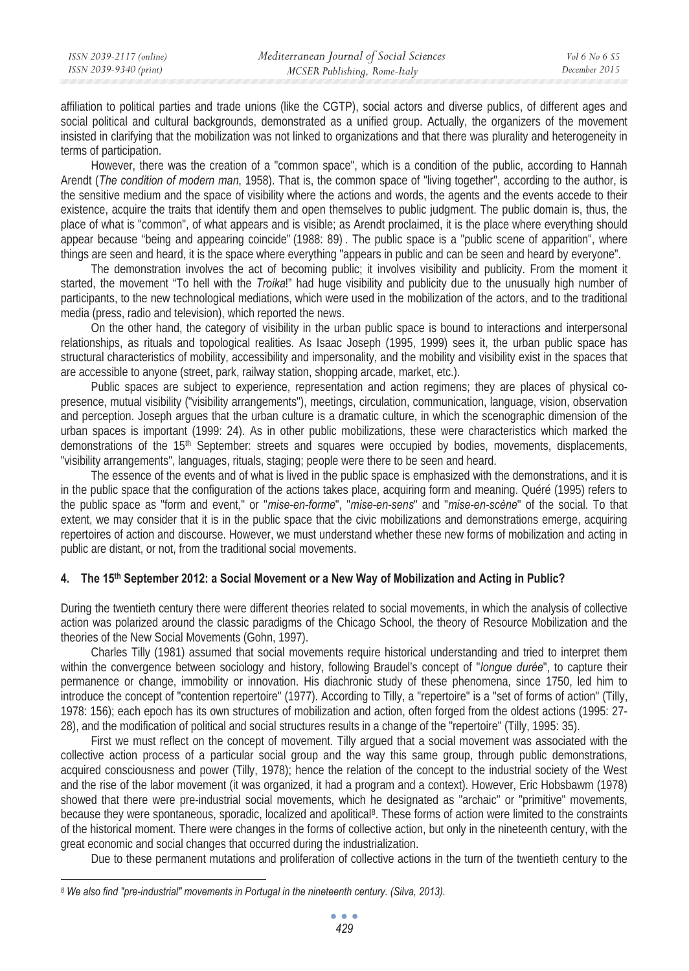affiliation to political parties and trade unions (like the CGTP), social actors and diverse publics, of different ages and social political and cultural backgrounds, demonstrated as a unified group. Actually, the organizers of the movement insisted in clarifying that the mobilization was not linked to organizations and that there was plurality and heterogeneity in terms of participation.

However, there was the creation of a "common space", which is a condition of the public, according to Hannah Arendt (*The condition of modern man*, 1958). That is, the common space of "living together", according to the author, is the sensitive medium and the space of visibility where the actions and words, the agents and the events accede to their existence, acquire the traits that identify them and open themselves to public judgment. The public domain is, thus, the place of what is "common", of what appears and is visible; as Arendt proclaimed, it is the place where everything should appear because "being and appearing coincide" (1988: 89) . The public space is a "public scene of apparition", where things are seen and heard, it is the space where everything "appears in public and can be seen and heard by everyone".

The demonstration involves the act of becoming public; it involves visibility and publicity. From the moment it started, the movement "To hell with the *Troika*!" had huge visibility and publicity due to the unusually high number of participants, to the new technological mediations, which were used in the mobilization of the actors, and to the traditional media (press, radio and television), which reported the news.

On the other hand, the category of visibility in the urban public space is bound to interactions and interpersonal relationships, as rituals and topological realities. As Isaac Joseph (1995, 1999) sees it, the urban public space has structural characteristics of mobility, accessibility and impersonality, and the mobility and visibility exist in the spaces that are accessible to anyone (street, park, railway station, shopping arcade, market, etc.).

Public spaces are subject to experience, representation and action regimens; they are places of physical copresence, mutual visibility ("visibility arrangements"), meetings, circulation, communication, language, vision, observation and perception. Joseph argues that the urban culture is a dramatic culture, in which the scenographic dimension of the urban spaces is important (1999: 24). As in other public mobilizations, these were characteristics which marked the demonstrations of the 15th September: streets and squares were occupied by bodies, movements, displacements, "visibility arrangements", languages, rituals, staging; people were there to be seen and heard.

The essence of the events and of what is lived in the public space is emphasized with the demonstrations, and it is in the public space that the configuration of the actions takes place, acquiring form and meaning. Quéré (1995) refers to the public space as "form and event," or "*mise-en-forme*", "*mise-en-sens*" and "*mise-en-scène*" of the social. To that extent, we may consider that it is in the public space that the civic mobilizations and demonstrations emerge, acquiring repertoires of action and discourse. However, we must understand whether these new forms of mobilization and acting in public are distant, or not, from the traditional social movements.

## **The 15th 4. September 2012: a Social Movement or a New Way of Mobilization and Acting in Public?**

During the twentieth century there were different theories related to social movements, in which the analysis of collective action was polarized around the classic paradigms of the Chicago School, the theory of Resource Mobilization and the theories of the New Social Movements (Gohn, 1997).

Charles Tilly (1981) assumed that social movements require historical understanding and tried to interpret them within the convergence between sociology and history, following Braudel's concept of "*longue durée*", to capture their permanence or change, immobility or innovation. His diachronic study of these phenomena, since 1750, led him to introduce the concept of "contention repertoire" (1977). According to Tilly, a "repertoire" is a "set of forms of action" (Tilly, 1978: 156); each epoch has its own structures of mobilization and action, often forged from the oldest actions (1995: 27- 28), and the modification of political and social structures results in a change of the "repertoire" (Tilly, 1995: 35).

First we must reflect on the concept of movement. Tilly argued that a social movement was associated with the collective action process of a particular social group and the way this same group, through public demonstrations, acquired consciousness and power (Tilly, 1978); hence the relation of the concept to the industrial society of the West and the rise of the labor movement (it was organized, it had a program and a context). However, Eric Hobsbawm (1978) showed that there were pre-industrial social movements, which he designated as "archaic" or "primitive" movements, because they were spontaneous, sporadic, localized and apolitical<sup>8</sup>. These forms of action were limited to the constraints of the historical moment. There were changes in the forms of collective action, but only in the nineteenth century, with the great economic and social changes that occurred during the industrialization.

Due to these permanent mutations and proliferation of collective actions in the turn of the twentieth century to the

*<sup>8</sup> We also find "pre-industrial" movements in Portugal in the nineteenth century. (Silva, 2013).*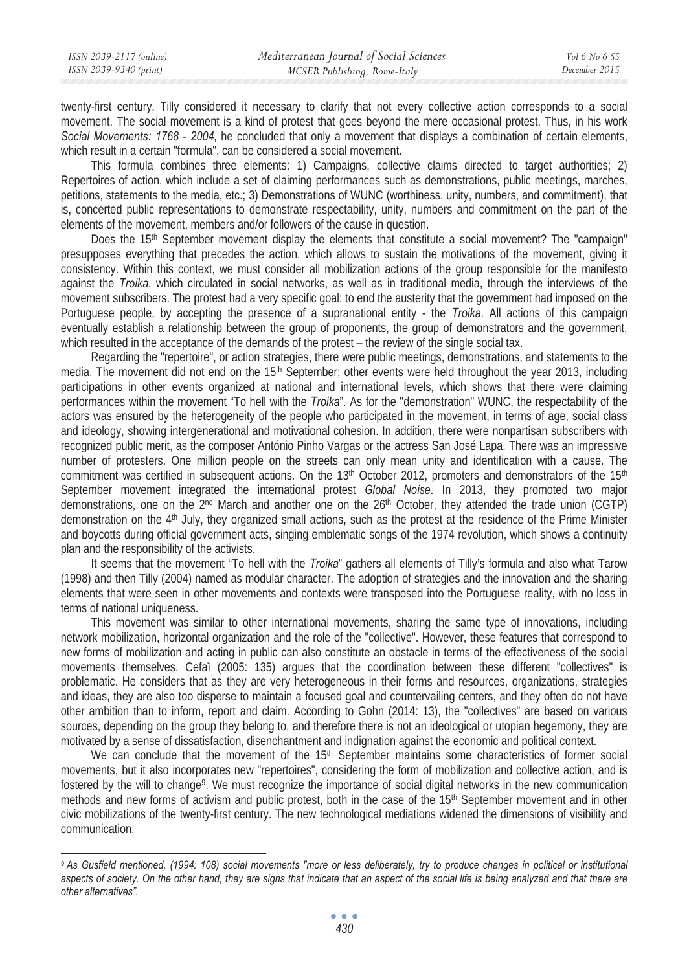twenty-first century, Tilly considered it necessary to clarify that not every collective action corresponds to a social movement. The social movement is a kind of protest that goes beyond the mere occasional protest. Thus, in his work *Social Movements: 1768 - 2004*, he concluded that only a movement that displays a combination of certain elements, which result in a certain "formula", can be considered a social movement.

This formula combines three elements: 1) Campaigns, collective claims directed to target authorities; 2) Repertoires of action, which include a set of claiming performances such as demonstrations, public meetings, marches, petitions, statements to the media, etc.; 3) Demonstrations of WUNC (worthiness, unity, numbers, and commitment), that is, concerted public representations to demonstrate respectability, unity, numbers and commitment on the part of the elements of the movement, members and/or followers of the cause in question.

Does the 15<sup>th</sup> September movement display the elements that constitute a social movement? The "campaign" presupposes everything that precedes the action, which allows to sustain the motivations of the movement, giving it consistency. Within this context, we must consider all mobilization actions of the group responsible for the manifesto against the *Troika*, which circulated in social networks, as well as in traditional media, through the interviews of the movement subscribers. The protest had a very specific goal: to end the austerity that the government had imposed on the Portuguese people, by accepting the presence of a supranational entity - the *Troika*. All actions of this campaign eventually establish a relationship between the group of proponents, the group of demonstrators and the government, which resulted in the acceptance of the demands of the protest – the review of the single social tax.

Regarding the "repertoire", or action strategies, there were public meetings, demonstrations, and statements to the media. The movement did not end on the 15<sup>th</sup> September; other events were held throughout the year 2013, including participations in other events organized at national and international levels, which shows that there were claiming performances within the movement "To hell with the *Troika*". As for the "demonstration" WUNC, the respectability of the actors was ensured by the heterogeneity of the people who participated in the movement, in terms of age, social class and ideology, showing intergenerational and motivational cohesion. In addition, there were nonpartisan subscribers with recognized public merit, as the composer António Pinho Vargas or the actress San José Lapa. There was an impressive number of protesters. One million people on the streets can only mean unity and identification with a cause. The commitment was certified in subsequent actions. On the  $13<sup>th</sup>$  October 2012, promoters and demonstrators of the  $15<sup>th</sup>$ September movement integrated the international protest *Global Noise*. In 2013, they promoted two major demonstrations, one on the 2<sup>nd</sup> March and another one on the 26<sup>th</sup> October, they attended the trade union (CGTP) demonstration on the 4th July, they organized small actions, such as the protest at the residence of the Prime Minister and boycotts during official government acts, singing emblematic songs of the 1974 revolution, which shows a continuity plan and the responsibility of the activists.

It seems that the movement "To hell with the *Troika*" gathers all elements of Tilly's formula and also what Tarow (1998) and then Tilly (2004) named as modular character. The adoption of strategies and the innovation and the sharing elements that were seen in other movements and contexts were transposed into the Portuguese reality, with no loss in terms of national uniqueness.

This movement was similar to other international movements, sharing the same type of innovations, including network mobilization, horizontal organization and the role of the "collective". However, these features that correspond to new forms of mobilization and acting in public can also constitute an obstacle in terms of the effectiveness of the social movements themselves. Cefaï (2005: 135) argues that the coordination between these different "collectives" is problematic. He considers that as they are very heterogeneous in their forms and resources, organizations, strategies and ideas, they are also too disperse to maintain a focused goal and countervailing centers, and they often do not have other ambition than to inform, report and claim. According to Gohn (2014: 13), the "collectives" are based on various sources, depending on the group they belong to, and therefore there is not an ideological or utopian hegemony, they are motivated by a sense of dissatisfaction, disenchantment and indignation against the economic and political context.

We can conclude that the movement of the 15<sup>th</sup> September maintains some characteristics of former social movements, but it also incorporates new "repertoires", considering the form of mobilization and collective action, and is fostered by the will to change<sup>9</sup>. We must recognize the importance of social digital networks in the new communication methods and new forms of activism and public protest, both in the case of the 15<sup>th</sup> September movement and in other civic mobilizations of the twenty-first century. The new technological mediations widened the dimensions of visibility and communication.

*<sup>9</sup> As Gusfield mentioned, (1994: 108) social movements "more or less deliberately, try to produce changes in political or institutional aspects of society. On the other hand, they are signs that indicate that an aspect of the social life is being analyzed and that there are other alternatives".*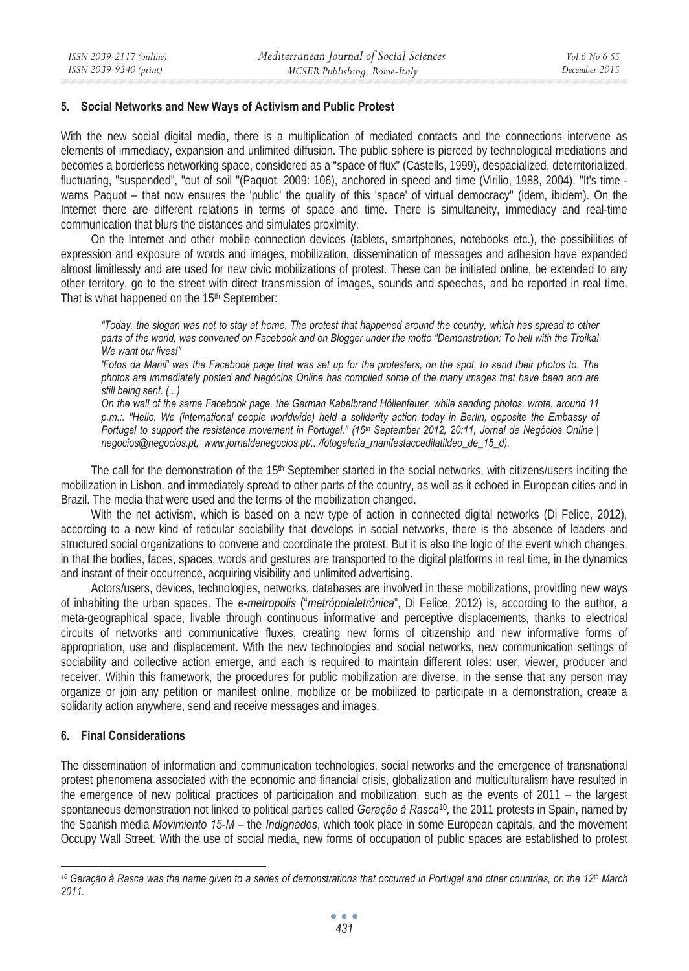### **5. Social Networks and New Ways of Activism and Public Protest**

With the new social digital media, there is a multiplication of mediated contacts and the connections intervene as elements of immediacy, expansion and unlimited diffusion. The public sphere is pierced by technological mediations and becomes a borderless networking space, considered as a "space of flux" (Castells, 1999), despacialized, deterritorialized, fluctuating, "suspended", "out of soil "(Paquot, 2009: 106), anchored in speed and time (Virilio, 1988, 2004). "It's time warns Paquot – that now ensures the 'public' the quality of this 'space' of virtual democracy" (idem, ibidem). On the Internet there are different relations in terms of space and time. There is simultaneity, immediacy and real-time communication that blurs the distances and simulates proximity.

On the Internet and other mobile connection devices (tablets, smartphones, notebooks etc.), the possibilities of expression and exposure of words and images, mobilization, dissemination of messages and adhesion have expanded almost limitlessly and are used for new civic mobilizations of protest. These can be initiated online, be extended to any other territory, go to the street with direct transmission of images, sounds and speeches, and be reported in real time. That is what happened on the 15<sup>th</sup> September:

*"Today, the slogan was not to stay at home. The protest that happened around the country, which has spread to other parts of the world, was convened on Facebook and on Blogger under the motto "Demonstration: To hell with the Troika! We want our lives!"* 

*'Fotos da Manif' was the Facebook page that was set up for the protesters, on the spot, to send their photos to. The photos are immediately posted and Negócios Online has compiled some of the many images that have been and are still being sent. (...)* 

*On the wall of the same Facebook page, the German Kabelbrand Höllenfeuer, while sending photos, wrote, around 11 p.m.:. "Hello. We (international people worldwide) held a solidarity action today in Berlin, opposite the Embassy of Portugal to support the resistance movement in Portugal." (15th September 2012, 20:11, Jornal de Negócios Online | negocios@negocios.pt; www.jornaldenegocios.pt/.../fotogaleria\_manifestaccedilatildeo\_de\_15\_d).* 

The call for the demonstration of the 15<sup>th</sup> September started in the social networks, with citizens/users inciting the mobilization in Lisbon, and immediately spread to other parts of the country, as well as it echoed in European cities and in Brazil. The media that were used and the terms of the mobilization changed.

With the net activism, which is based on a new type of action in connected digital networks (Di Felice, 2012), according to a new kind of reticular sociability that develops in social networks, there is the absence of leaders and structured social organizations to convene and coordinate the protest. But it is also the logic of the event which changes, in that the bodies, faces, spaces, words and gestures are transported to the digital platforms in real time, in the dynamics and instant of their occurrence, acquiring visibility and unlimited advertising.

Actors/users, devices, technologies, networks, databases are involved in these mobilizations, providing new ways of inhabiting the urban spaces. The *e-metropolis* ("*metrópoleletrônica*", Di Felice, 2012) is, according to the author, a meta-geographical space, livable through continuous informative and perceptive displacements, thanks to electrical circuits of networks and communicative fluxes, creating new forms of citizenship and new informative forms of appropriation, use and displacement. With the new technologies and social networks, new communication settings of sociability and collective action emerge, and each is required to maintain different roles: user, viewer, producer and receiver. Within this framework, the procedures for public mobilization are diverse, in the sense that any person may organize or join any petition or manifest online, mobilize or be mobilized to participate in a demonstration, create a solidarity action anywhere, send and receive messages and images.

### **6. Final Considerations**

The dissemination of information and communication technologies, social networks and the emergence of transnational protest phenomena associated with the economic and financial crisis, globalization and multiculturalism have resulted in the emergence of new political practices of participation and mobilization, such as the events of 2011 – the largest spontaneous demonstration not linked to political parties called *Geração à Rasca*<sup>10</sup>*,* the 2011 protests in Spain, named by the Spanish media *Movimiento 15-M* – the *Indignados*, which took place in some European capitals, and the movement Occupy Wall Street. With the use of social media, new forms of occupation of public spaces are established to protest

<sup>&</sup>lt;sup>10</sup> Geração à Rasca was the name given to a series of demonstrations that occurred in Portugal and other countries, on the 12<sup>th</sup> March *2011.*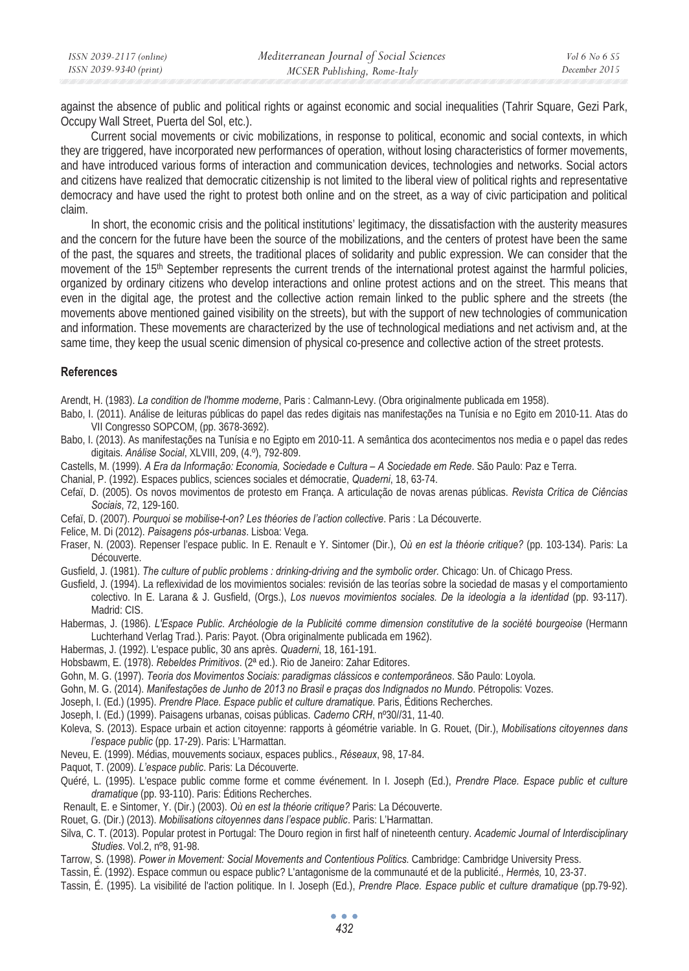against the absence of public and political rights or against economic and social inequalities (Tahrir Square, Gezi Park, Occupy Wall Street, Puerta del Sol, etc.).

Current social movements or civic mobilizations, in response to political, economic and social contexts, in which they are triggered, have incorporated new performances of operation, without losing characteristics of former movements, and have introduced various forms of interaction and communication devices, technologies and networks. Social actors and citizens have realized that democratic citizenship is not limited to the liberal view of political rights and representative democracy and have used the right to protest both online and on the street, as a way of civic participation and political claim.

In short, the economic crisis and the political institutions' legitimacy, the dissatisfaction with the austerity measures and the concern for the future have been the source of the mobilizations, and the centers of protest have been the same of the past, the squares and streets, the traditional places of solidarity and public expression. We can consider that the movement of the 15<sup>th</sup> September represents the current trends of the international protest against the harmful policies, organized by ordinary citizens who develop interactions and online protest actions and on the street. This means that even in the digital age, the protest and the collective action remain linked to the public sphere and the streets (the movements above mentioned gained visibility on the streets), but with the support of new technologies of communication and information. These movements are characterized by the use of technological mediations and net activism and, at the same time, they keep the usual scenic dimension of physical co-presence and collective action of the street protests.

### **References**

Arendt, H. (1983). *La condition de l'homme moderne*, Paris : Calmann-Levy. (Obra originalmente publicada em 1958).

- Babo, I. (2011). Análise de leituras públicas do papel das redes digitais nas manifestações na Tunísia e no Egito em 2010-11. Atas do VII Congresso SOPCOM, (pp. 3678-3692).
- Babo, I. (2013). As manifestações na Tunísia e no Egipto em 2010-11. A semântica dos acontecimentos nos media e o papel das redes digitais. *Análise Social*, XLVIII, 209, (4.º), 792-809.
- Castells, M. (1999). *A Era da Informação: Economia, Sociedade e Cultura A Sociedade em Rede*. São Paulo: Paz e Terra.
- Chanial, P. (1992). Espaces publics, sciences sociales et démocratie, *Quaderni*, 18, 63-74.
- Cefaï, D. (2005). Os novos movimentos de protesto em França. A articulação de novas arenas públicas. *Revista Crítica de Ciências Sociais*, 72, 129-160.
- Cefaï, D. (2007). *Pourquoi se mobilise-t-on? Les théories de l'action collective*. Paris : La Découverte.
- Felice, M. Di (2012). *Paisagens pós-urbanas*. Lisboa: Vega.
- Fraser, N. (2003). Repenser l'espace public. In E. Renault e Y. Sintomer (Dir.), *Où en est la théorie critique?* (pp. 103-134). Paris: La Découverte.
- Gusfield, J. (1981). *The culture of public problems : drinking-driving and the symbolic order.* Chicago: Un. of Chicago Press.
- Gusfield, J. (1994). La reflexividad de los movimientos sociales: revisión de las teorías sobre la sociedad de masas y el comportamiento colectivo. In E. Larana & J. Gusfield, (Orgs.), *Los nuevos movimientos sociales. De la ideologia a la identidad* (pp. 93-117). Madrid: CIS.
- Habermas, J. (1986). *L'Espace Public*. *Archéologie de la Publicité comme dimension constitutive de la société bourgeoise* (Hermann Luchterhand Verlag Trad.). Paris: Payot. (Obra originalmente publicada em 1962).
- Habermas, J. (1992). L'espace public, 30 ans après. *Quaderni*, 18, 161-191.
- Hobsbawm, E. (1978). *Rebeldes Primitivos*. (2ª ed.). Rio de Janeiro: Zahar Editores.
- Gohn, M. G. (1997). *Teoria dos Movimentos Sociais: paradigmas clássicos e contemporâneos*. São Paulo: Loyola.
- Gohn, M. G. (2014). *Manifestações de Junho de 2013 no Brasil e praças dos Indignados no Mundo*. Pétropolis: Vozes.
- Joseph, I. (Ed.) (1995). *Prendre Place. Espace public et culture dramatique.* Paris, Éditions Recherches.
- Joseph, I. (Ed.) (1999). Paisagens urbanas, coisas públicas. *Caderno CRH*, nº30//31, 11-40.
- Koleva, S. (2013). Espace urbain et action citoyenne: rapports à géométrie variable. In G. Rouet, (Dir.), *Mobilisations citoyennes dans l'espace public* (pp. 17-29). Paris: L'Harmattan.
- Neveu, E. (1999). Médias, mouvements sociaux, espaces publics., *Réseaux*, 98, 17-84.
- Paquot, T. (2009). *L'espace public*. Paris: La Découverte.
- Quéré, L. (1995). L'espace public comme forme et comme événement. In I. Joseph (Ed.), *Prendre Place. Espace public et culture dramatique* (pp. 93-110). Paris: Éditions Recherches.
- Renault, E. e Sintomer, Y. (Dir.) (2003). *Où en est la théorie critique?* Paris: La Découverte.
- Rouet, G. (Dir.) (2013). *Mobilisations citoyennes dans l'espace public*. Paris: L'Harmattan.
- Silva, C. T. (2013). Popular protest in Portugal: The Douro region in first half of nineteenth century. *Academic Journal of Interdisciplinary Studies*. Vol.2, nº8, 91-98.
- Tarrow, S. (1998). *Power in Movement: Social Movements and Contentious Politics.* Cambridge: Cambridge University Press.
- Tassin, É. (1992). Espace commun ou espace public? L'antagonisme de la communauté et de la publicité., *Hermès,* 10, 23-37.
- Tassin, É. (1995). La visibilité de l'action politique. In I. Joseph (Ed.), *Prendre Place. Espace public et culture dramatique* (pp.79-92).